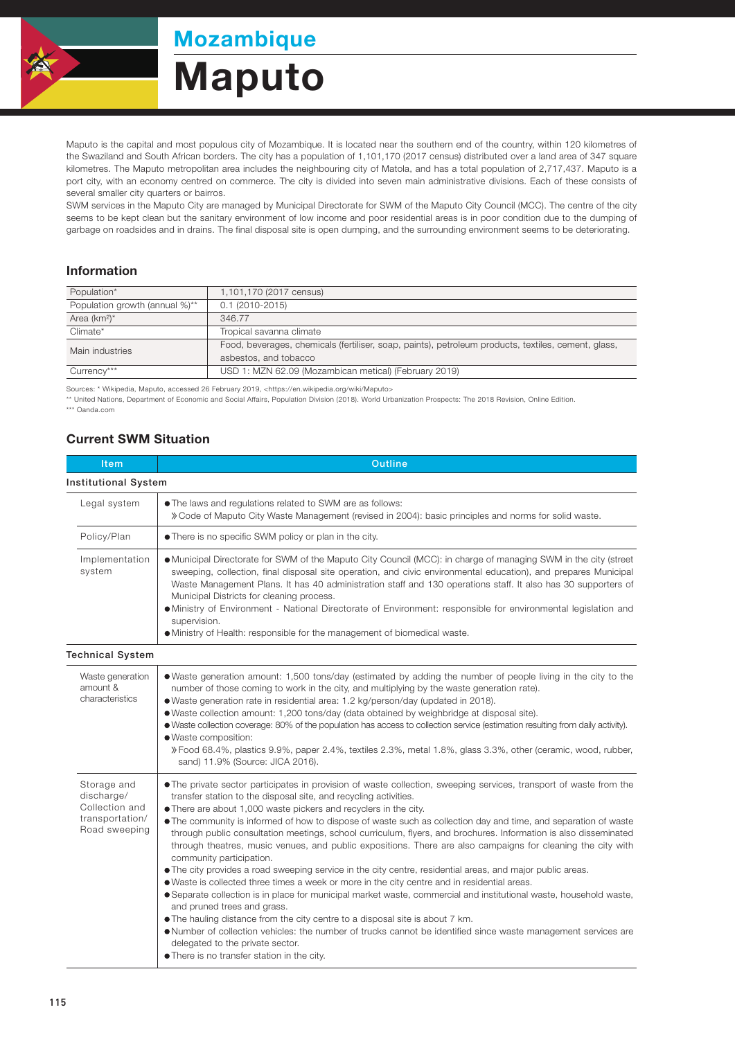

Mozambique

## Maputo

Maputo is the capital and most populous city of Mozambique. It is located near the southern end of the country, within 120 kilometres of the Swaziland and South African borders. The city has a population of 1,101,170 (2017 census) distributed over a land area of 347 square kilometres. The Maputo metropolitan area includes the neighbouring city of Matola, and has a total population of 2,717,437. Maputo is a port city, with an economy centred on commerce. The city is divided into seven main administrative divisions. Each of these consists of several smaller city quarters or bairros.

SWM services in the Maputo City are managed by Municipal Directorate for SWM of the Maputo City Council (MCC). The centre of the city seems to be kept clean but the sanitary environment of low income and poor residential areas is in poor condition due to the dumping of garbage on roadsides and in drains. The final disposal site is open dumping, and the surrounding environment seems to be deteriorating.

## Information

| Population*                    | 1,101,170 (2017 census)                                                                             |  |
|--------------------------------|-----------------------------------------------------------------------------------------------------|--|
| Population growth (annual %)** | $0.1(2010-2015)$                                                                                    |  |
| Area $(km^2)^*$                | 346.77                                                                                              |  |
| Climate*                       | Tropical savanna climate                                                                            |  |
| Main industries                | Food, beverages, chemicals (fertiliser, soap, paints), petroleum products, textiles, cement, glass, |  |
|                                | asbestos, and tobacco                                                                               |  |
| Currency***                    | USD 1: MZN 62.09 (Mozambican metical) (February 2019)                                               |  |

Sources: \* Wikipedia, Maputo, accessed 26 February 2019, <https://en.wikipedia.org/wiki/Maputo>

\*\* United Nations, Department of Economic and Social Affairs, Population Division (2018). World Urbanization Prospects: The 2018 Revision, Online Edition.

\*\*\* Oanda.com

## Current SWM Situation

| Item                                                                            | <b>Outline</b>                                                                                                                                                                                                                                                                                                                                                                                                                                                                                                                                                                                                                                                                                                                                                                                                                                                                                                                                                                                                                                                                                                                                                                                                                                                                                        |  |  |
|---------------------------------------------------------------------------------|-------------------------------------------------------------------------------------------------------------------------------------------------------------------------------------------------------------------------------------------------------------------------------------------------------------------------------------------------------------------------------------------------------------------------------------------------------------------------------------------------------------------------------------------------------------------------------------------------------------------------------------------------------------------------------------------------------------------------------------------------------------------------------------------------------------------------------------------------------------------------------------------------------------------------------------------------------------------------------------------------------------------------------------------------------------------------------------------------------------------------------------------------------------------------------------------------------------------------------------------------------------------------------------------------------|--|--|
| <b>Institutional System</b>                                                     |                                                                                                                                                                                                                                                                                                                                                                                                                                                                                                                                                                                                                                                                                                                                                                                                                                                                                                                                                                                                                                                                                                                                                                                                                                                                                                       |  |  |
| Legal system                                                                    | • The laws and regulations related to SWM are as follows:<br>» Code of Maputo City Waste Management (revised in 2004): basic principles and norms for solid waste.                                                                                                                                                                                                                                                                                                                                                                                                                                                                                                                                                                                                                                                                                                                                                                                                                                                                                                                                                                                                                                                                                                                                    |  |  |
| Policy/Plan                                                                     | • There is no specific SWM policy or plan in the city.                                                                                                                                                                                                                                                                                                                                                                                                                                                                                                                                                                                                                                                                                                                                                                                                                                                                                                                                                                                                                                                                                                                                                                                                                                                |  |  |
| Implementation<br>system                                                        | • Municipal Directorate for SWM of the Maputo City Council (MCC): in charge of managing SWM in the city (street<br>sweeping, collection, final disposal site operation, and civic environmental education), and prepares Municipal<br>Waste Management Plans. It has 40 administration staff and 130 operations staff. It also has 30 supporters of<br>Municipal Districts for cleaning process.<br>• Ministry of Environment - National Directorate of Environment: responsible for environmental legislation and<br>supervision.<br>• Ministry of Health: responsible for the management of biomedical waste.                                                                                                                                                                                                                                                                                                                                                                                                                                                                                                                                                                                                                                                                                       |  |  |
| <b>Technical System</b>                                                         |                                                                                                                                                                                                                                                                                                                                                                                                                                                                                                                                                                                                                                                                                                                                                                                                                                                                                                                                                                                                                                                                                                                                                                                                                                                                                                       |  |  |
|                                                                                 |                                                                                                                                                                                                                                                                                                                                                                                                                                                                                                                                                                                                                                                                                                                                                                                                                                                                                                                                                                                                                                                                                                                                                                                                                                                                                                       |  |  |
| Waste generation<br>amount &<br>characteristics                                 | • Waste generation amount: 1,500 tons/day (estimated by adding the number of people living in the city to the<br>number of those coming to work in the city, and multiplying by the waste generation rate).<br>• Waste generation rate in residential area: 1.2 kg/person/day (updated in 2018).<br>• Waste collection amount: 1,200 tons/day (data obtained by weighbridge at disposal site).<br>• Waste collection coverage: 80% of the population has access to collection service (estimation resulting from daily activity).<br>· Waste composition:<br>» Food 68.4%, plastics 9.9%, paper 2.4%, textiles 2.3%, metal 1.8%, glass 3.3%, other (ceramic, wood, rubber,<br>sand) 11.9% (Source: JICA 2016).                                                                                                                                                                                                                                                                                                                                                                                                                                                                                                                                                                                        |  |  |
| Storage and<br>discharge/<br>Collection and<br>transportation/<br>Road sweeping | • The private sector participates in provision of waste collection, sweeping services, transport of waste from the<br>transfer station to the disposal site, and recycling activities.<br>• There are about 1,000 waste pickers and recyclers in the city.<br>• The community is informed of how to dispose of waste such as collection day and time, and separation of waste<br>through public consultation meetings, school curriculum, flyers, and brochures. Information is also disseminated<br>through theatres, music venues, and public expositions. There are also campaigns for cleaning the city with<br>community participation.<br>• The city provides a road sweeping service in the city centre, residential areas, and major public areas.<br>• Waste is collected three times a week or more in the city centre and in residential areas.<br>• Separate collection is in place for municipal market waste, commercial and institutional waste, household waste,<br>and pruned trees and grass.<br>• The hauling distance from the city centre to a disposal site is about 7 km.<br>• Number of collection vehicles: the number of trucks cannot be identified since waste management services are<br>delegated to the private sector.<br>• There is no transfer station in the city. |  |  |